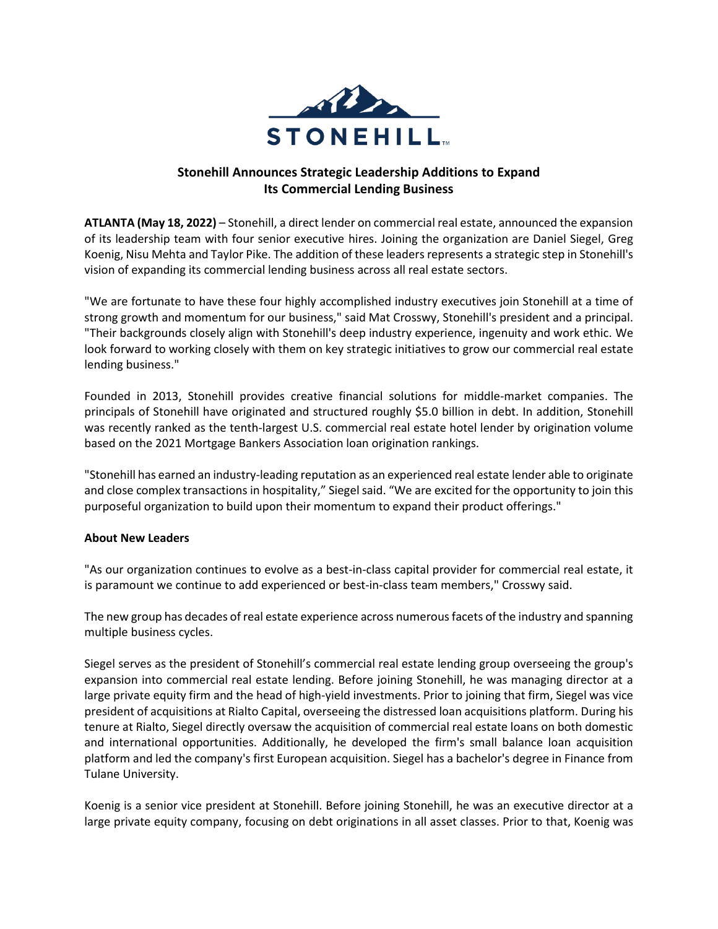

## **Stonehill Announces Strategic Leadership Additions to Expand Its Commercial Lending Business**

**ATLANTA (May 18, 2022)** – Stonehill, a direct lender on commercial real estate, announced the expansion of its leadership team with four senior executive hires. Joining the organization are Daniel Siegel, Greg Koenig, Nisu Mehta and Taylor Pike. The addition of these leaders represents a strategic step in Stonehill's vision of expanding its commercial lending business across all real estate sectors.

"We are fortunate to have these four highly accomplished industry executives join Stonehill at a time of strong growth and momentum for our business," said Mat Crosswy, Stonehill's president and a principal. "Their backgrounds closely align with Stonehill's deep industry experience, ingenuity and work ethic. We look forward to working closely with them on key strategic initiatives to grow our commercial real estate lending business."

Founded in 2013, Stonehill provides creative financial solutions for middle-market companies. The principals of Stonehill have originated and structured roughly \$5.0 billion in debt. In addition, Stonehill was recently ranked as the tenth-largest U.S. commercial real estate hotel lender by origination volume based on the 2021 Mortgage Bankers Association loan origination rankings.

"Stonehill has earned an industry-leading reputation as an experienced real estate lender able to originate and close complex transactions in hospitality," Siegel said. "We are excited for the opportunity to join this purposeful organization to build upon their momentum to expand their product offerings."

## **About New Leaders**

"As our organization continues to evolve as a best-in-class capital provider for commercial real estate, it is paramount we continue to add experienced or best-in-class team members," Crosswy said.

The new group has decades of real estate experience across numerous facets of the industry and spanning multiple business cycles.

Siegel serves as the president of Stonehill's commercial real estate lending group overseeing the group's expansion into commercial real estate lending. Before joining Stonehill, he was managing director at a large private equity firm and the head of high-yield investments. Prior to joining that firm, Siegel was vice president of acquisitions at Rialto Capital, overseeing the distressed loan acquisitions platform. During his tenure at Rialto, Siegel directly oversaw the acquisition of commercial real estate loans on both domestic and international opportunities. Additionally, he developed the firm's small balance loan acquisition platform and led the company's first European acquisition. Siegel has a bachelor's degree in Finance from Tulane University.

Koenig is a senior vice president at Stonehill. Before joining Stonehill, he was an executive director at a large private equity company, focusing on debt originations in all asset classes. Prior to that, Koenig was